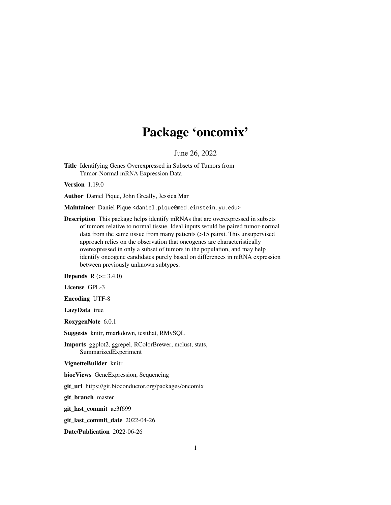## Package 'oncomix'

June 26, 2022

Title Identifying Genes Overexpressed in Subsets of Tumors from Tumor-Normal mRNA Expression Data

Version 1.19.0

Author Daniel Pique, John Greally, Jessica Mar

Maintainer Daniel Pique <daniel.pique@med.einstein.yu.edu>

Description This package helps identify mRNAs that are overexpressed in subsets of tumors relative to normal tissue. Ideal inputs would be paired tumor-normal data from the same tissue from many patients (>15 pairs). This unsupervised approach relies on the observation that oncogenes are characteristically overexpressed in only a subset of tumors in the population, and may help identify oncogene candidates purely based on differences in mRNA expression between previously unknown subtypes.

**Depends**  $R (= 3.4.0)$ 

License GPL-3

Encoding UTF-8

LazyData true

RoxygenNote 6.0.1

Suggests knitr, rmarkdown, testthat, RMySQL

Imports ggplot2, ggrepel, RColorBrewer, mclust, stats, SummarizedExperiment

VignetteBuilder knitr

biocViews GeneExpression, Sequencing

git\_url https://git.bioconductor.org/packages/oncomix

git\_branch master

git\_last\_commit ae3f699

git\_last\_commit\_date 2022-04-26

Date/Publication 2022-06-26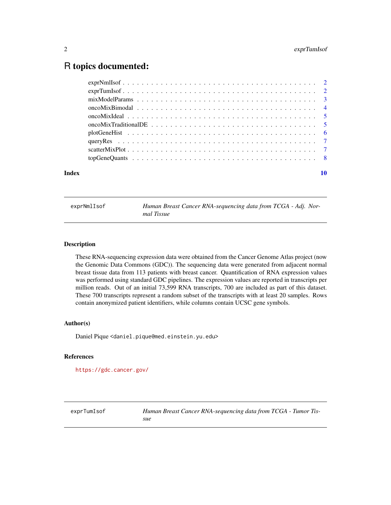### <span id="page-1-0"></span>R topics documented:

| Index | 10 |
|-------|----|
|       |    |
|       |    |
|       |    |
|       |    |
|       |    |
|       |    |
|       |    |
|       |    |
|       |    |
|       |    |

exprNmlIsof *Human Breast Cancer RNA-sequencing data from TCGA - Adj. Normal Tissue*

#### Description

These RNA-sequencing expression data were obtained from the Cancer Genome Atlas project (now the Genomic Data Commons (GDC)). The sequencing data were generated from adjacent normal breast tissue data from 113 patients with breast cancer. Quantification of RNA expression values was performed using standard GDC pipelines. The expression values are reported in transcripts per million reads. Out of an initial 73,599 RNA transcripts, 700 are included as part of this dataset. These 700 transcripts represent a random subset of the transcripts with at least 20 samples. Rows contain anonymized patient identifiers, while columns contain UCSC gene symbols.

#### Author(s)

Daniel Pique <daniel.pique@med.einstein.yu.edu>

#### References

<https://gdc.cancer.gov/>

exprTumIsof *Human Breast Cancer RNA-sequencing data from TCGA - Tumor Tissue*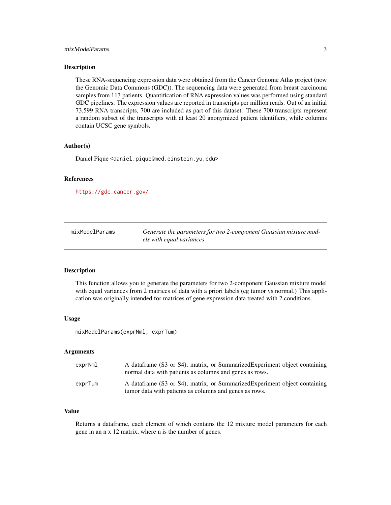#### <span id="page-2-0"></span>mixModelParams 3

#### **Description**

These RNA-sequencing expression data were obtained from the Cancer Genome Atlas project (now the Genomic Data Commons (GDC)). The sequencing data were generated from breast carcinoma samples from 113 patients. Quantification of RNA expression values was performed using standard GDC pipelines. The expression values are reported in transcripts per million reads. Out of an initial 73,599 RNA transcripts, 700 are included as part of this dataset. These 700 transcripts represent a random subset of the transcripts with at least 20 anonymized patient identifiers, while columns contain UCSC gene symbols.

#### Author(s)

Daniel Pique <daniel.pique@med.einstein.yu.edu>

#### References

<https://gdc.cancer.gov/>

<span id="page-2-1"></span>

| mixModelParams | Generate the parameters for two 2-component Gaussian mixture mod- |
|----------------|-------------------------------------------------------------------|
|                | els with equal variances                                          |

#### Description

This function allows you to generate the parameters for two 2-component Gaussian mixture model with equal variances from 2 matrices of data with a priori labels (eg tumor vs normal.) This application was originally intended for matrices of gene expression data treated with 2 conditions.

#### Usage

mixModelParams(exprNml, exprTum)

#### Arguments

| exprNml | A dataframe (S3 or S4), matrix, or Summarized Experiment object containing<br>normal data with patients as columns and genes as rows. |
|---------|---------------------------------------------------------------------------------------------------------------------------------------|
| exprTum | A dataframe (S3 or S4), matrix, or Summarized Experiment object containing<br>tumor data with patients as columns and genes as rows.  |

#### Value

Returns a dataframe, each element of which contains the 12 mixture model parameters for each gene in an n x 12 matrix, where n is the number of genes.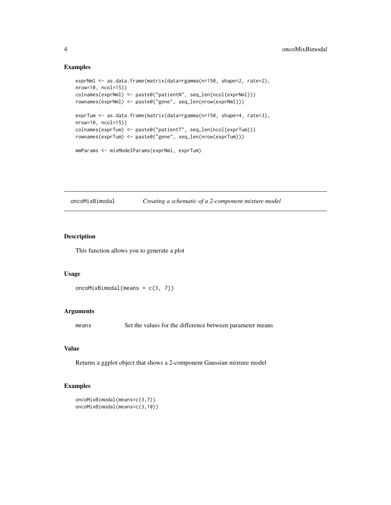#### Examples

```
exprNml <- as.data.frame(matrix(data=rgamma(n=150, shape=2, rate=2),
nrow=10, ncol=15))
colnames(exprNml) <- paste0("patientN", seq_len(ncol(exprNml)))
rownames(exprNml) <- paste0("gene", seq_len(nrow(exprNml)))
exprTum <- as.data.frame(matrix(data=rgamma(n=150, shape=4, rate=3),
nrow=10, ncol=15))
colnames(exprTum) <- paste0("patientT", seq_len(ncol(exprTum)))
rownames(exprTum) <- paste0("gene", seq_len(nrow(exprTum)))
mmParams <- mixModelParams(exprNml, exprTum)
```
oncoMixBimodal *Creating a schematic of a 2-component mixture model*

#### Description

This function allows you to generate a plot

#### Usage

```
oncoMixBimodal(means = c(3, 7))
```
#### Arguments

means Set the values for the difference between parameter means

#### Value

Returns a ggplot object that shows a 2-component Gaussian mixture model

#### Examples

```
oncoMixBimodal(means=c(3,7))
oncoMixBimodal(means=c(3,10))
```
<span id="page-3-0"></span>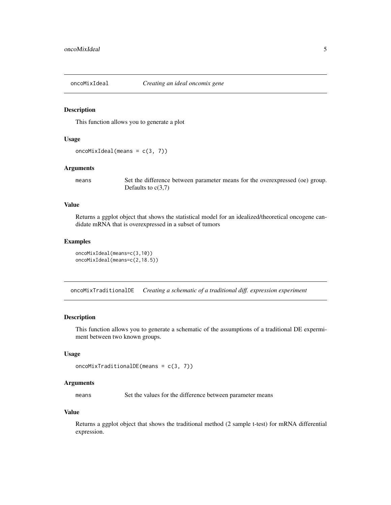<span id="page-4-0"></span>

#### Description

This function allows you to generate a plot

#### Usage

oncoMixIdeal(means =  $c(3, 7)$ )

#### Arguments

means Set the difference between parameter means for the overexpressed (oe) group. Defaults to  $c(3,7)$ 

#### Value

Returns a ggplot object that shows the statistical model for an idealized/theoretical oncogene candidate mRNA that is overexpressed in a subset of tumors

#### Examples

```
oncoMixIdeal(means=c(3,10))
oncoMixIdeal(means=c(2,18.5))
```
oncoMixTraditionalDE *Creating a schematic of a traditional diff. expression experiment*

#### Description

This function allows you to generate a schematic of the assumptions of a traditional DE expermiment between two known groups.

#### Usage

```
oncoMixTraditionalDE(means = c(3, 7))
```
#### Arguments

means Set the values for the difference between parameter means

#### Value

Returns a ggplot object that shows the traditional method (2 sample t-test) for mRNA differential expression.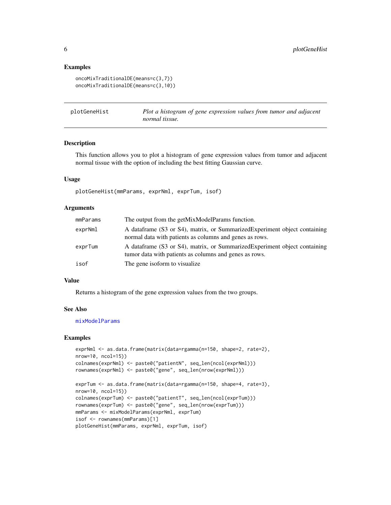#### Examples

```
oncoMixTraditionalDE(means=c(3,7))
oncoMixTraditionalDE(means=c(3,10))
```
plotGeneHist *Plot a histogram of gene expression values from tumor and adjacent normal tissue.*

#### Description

This function allows you to plot a histogram of gene expression values from tumor and adjacent normal tissue with the option of including the best fitting Gaussian curve.

#### Usage

plotGeneHist(mmParams, exprNml, exprTum, isof)

#### Arguments

| mmParams | The output from the getMixModelParams function.                                                                                       |
|----------|---------------------------------------------------------------------------------------------------------------------------------------|
| exprNml  | A dataframe (S3 or S4), matrix, or Summarized Experiment object containing<br>normal data with patients as columns and genes as rows. |
| exprTum  | A dataframe (S3 or S4), matrix, or SummarizedExperiment object containing<br>tumor data with patients as columns and genes as rows.   |
| isof     | The gene isoform to visualize.                                                                                                        |

#### Value

Returns a histogram of the gene expression values from the two groups.

#### See Also

[mixModelParams](#page-2-1)

#### Examples

```
exprNml <- as.data.frame(matrix(data=rgamma(n=150, shape=2, rate=2),
nrow=10, ncol=15))
colnames(exprNml) <- paste0("patientN", seq_len(ncol(exprNml)))
rownames(exprNml) <- paste0("gene", seq_len(nrow(exprNml)))
```

```
exprTum <- as.data.frame(matrix(data=rgamma(n=150, shape=4, rate=3),
nrow=10, ncol=15))
colnames(exprTum) <- paste0("patientT", seq_len(ncol(exprTum)))
rownames(exprTum) <- paste0("gene", seq_len(nrow(exprTum)))
mmParams <- mixModelParams(exprNml, exprTum)
isof <- rownames(mmParams)[1]
plotGeneHist(mmParams, exprNml, exprTum, isof)
```
<span id="page-5-0"></span>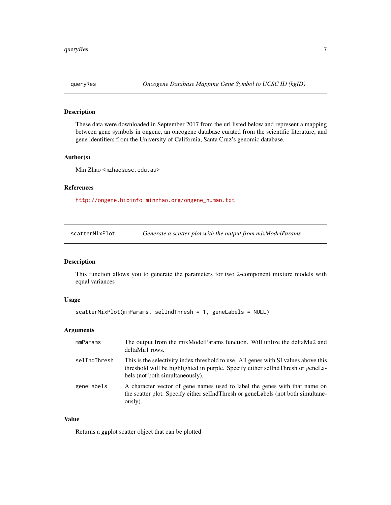<span id="page-6-0"></span>

#### **Description**

These data were downloaded in September 2017 from the url listed below and represent a mapping between gene symbols in ongene, an oncogene database curated from the scientific literature, and gene identifiers from the University of California, Santa Cruz's genomic database.

#### Author(s)

Min Zhao <mzhao@usc.edu.au>

#### References

[http://ongene.bioinfo-minzhao.org/ongene\\_human.txt](http://ongene.bioinfo-minzhao.org/ongene_human.txt)

scatterMixPlot *Generate a scatter plot with the output from mixModelParams*

#### Description

This function allows you to generate the parameters for two 2-component mixture models with equal variances

#### Usage

```
scatterMixPlot(mmParams, selIndThresh = 1, geneLabels = NULL)
```
#### Arguments

| mmParams     | The output from the mixModelParams function. Will utilize the deltaMu2 and<br>deltaMu1 rows.                                                                                                               |
|--------------|------------------------------------------------------------------------------------------------------------------------------------------------------------------------------------------------------------|
| selIndThresh | This is the selectivity index threshold to use. All genes with SI values above this<br>threshold will be highlighted in purple. Specify either selled Thresh or geneLa-<br>bels (not both simultaneously). |
| geneLabels   | A character vector of gene names used to label the genes with that name on<br>the scatter plot. Specify either sellndThresh or geneLabels (not both simultane-<br>ously).                                  |

#### Value

Returns a ggplot scatter object that can be plotted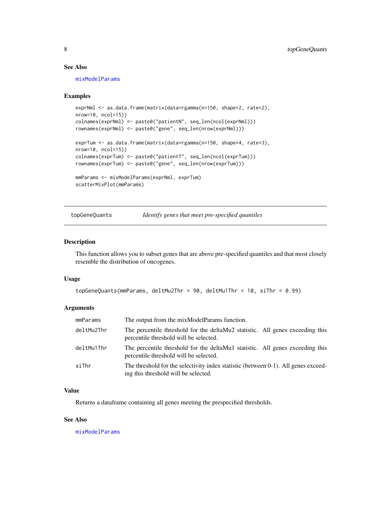#### <span id="page-7-0"></span>See Also

[mixModelParams](#page-2-1)

#### Examples

```
exprNml <- as.data.frame(matrix(data=rgamma(n=150, shape=2, rate=2),
nrow=10, ncol=15))
colnames(exprNml) <- paste0("patientN", seq_len(ncol(exprNml)))
rownames(exprNml) <- paste0("gene", seq_len(nrow(exprNml)))
exprTum <- as.data.frame(matrix(data=rgamma(n=150, shape=4, rate=3),
nrow=10, ncol=15))
colnames(exprTum) <- paste0("patientT", seq_len(ncol(exprTum)))
rownames(exprTum) <- paste0("gene", seq_len(nrow(exprTum)))
mmParams <- mixModelParams(exprNml, exprTum)
scatterMixPlot(mmParams)
```
topGeneQuants *Identify genes that meet pre-specified quantiles*

#### Description

This function allows you to subset genes that are above pre-specified quantiles and that most closely resemble the distribution of oncogenes.

#### Usage

```
topGeneQuants(mmParams, deltMu2Thr = 90, deltMu1Thr = 10, siThr = 0.99)
```
#### Arguments

| mmParams   | The output from the mixModelParams function.                                                                               |
|------------|----------------------------------------------------------------------------------------------------------------------------|
| deltMu2Thr | The percentile threshold for the deltaMu2 statistic. All genes exceeding this<br>percentile threshold will be selected.    |
| deltMu1Thr | The percentile threshold for the deltaMu1 statistic. All genes exceeding this<br>percentile threshold will be selected.    |
| siThr      | The threshold for the selectivity index statistic (between 0-1). All genes exceed-<br>ing this threshold will be selected. |

#### Value

Returns a dataframe containing all genes meeting the prespecified thresholds.

#### See Also

[mixModelParams](#page-2-1)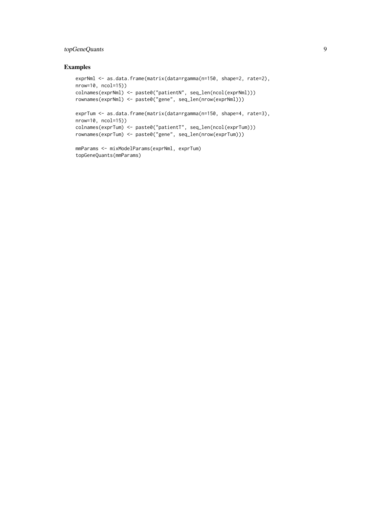#### topGeneQuants 9

#### Examples

```
exprNml <- as.data.frame(matrix(data=rgamma(n=150, shape=2, rate=2),
nrow=10, ncol=15))
colnames(exprNml) <- paste0("patientN", seq_len(ncol(exprNml)))
rownames(exprNml) <- paste0("gene", seq_len(nrow(exprNml)))
exprTum <- as.data.frame(matrix(data=rgamma(n=150, shape=4, rate=3),
nrow=10, ncol=15))
colnames(exprTum) <- paste0("patientT", seq_len(ncol(exprTum)))
rownames(exprTum) <- paste0("gene", seq_len(nrow(exprTum)))
mmParams <- mixModelParams(exprNml, exprTum)
```

```
topGeneQuants(mmParams)
```